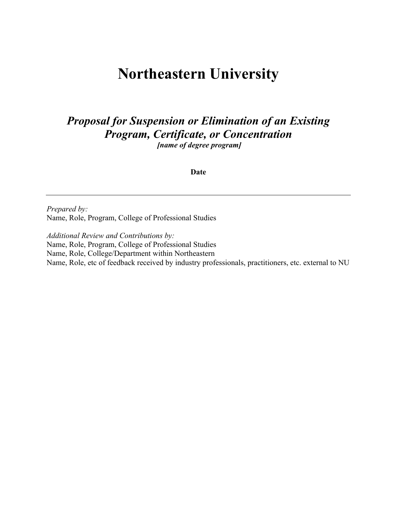# **Northeastern University**

## *Proposal for Suspension or Elimination of an Existing Program, Certificate, or Concentration*

*[name of degree program]*

**Date**

*Prepared by:* Name, Role, Program, College of Professional Studies

*Additional Review and Contributions by:* Name, Role, Program, College of Professional Studies Name, Role, College/Department within Northeastern Name, Role, etc of feedback received by industry professionals, practitioners, etc. external to NU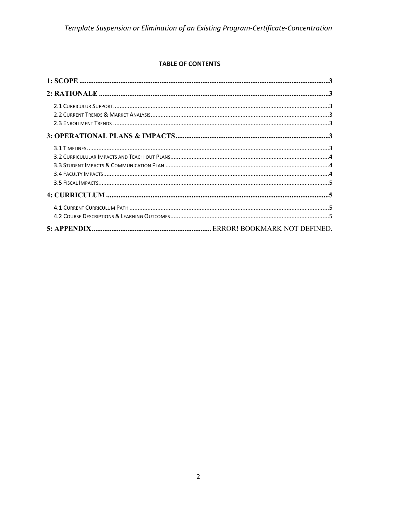#### **TABLE OF CONTENTS**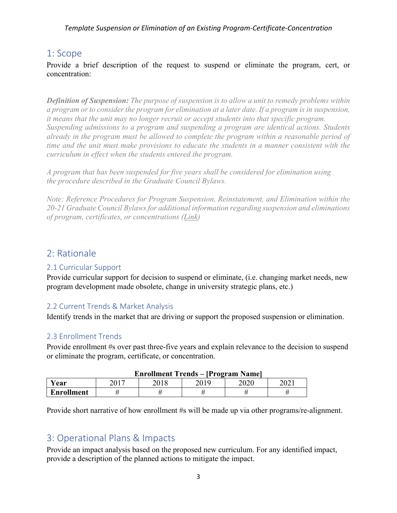*Template Suspension or Elimination of an Existing Program-Certificate-Concentration*

## 1: Scope

Provide a brief description of the request to suspend or eliminate the program, cert, or concentration:

*Definition of Suspension: The purpose of suspension is to allow a unit to remedy problems within a program or to consider the program for elimination at a later date. If a program is in suspension, it means that the unit may no longer recruit or accept students into that specific program. Suspending admissions to a program and suspending a program are identical actions. Students already in the program must be allowed to complete the program within a reasonable period of time and the unit must make provisions to educate the students in a manner consistent with the curriculum in effect when the students entered the program.*

*A program that has been suspended for five years shall be considered for elimination using the procedure described in the Graduate Council Bylaws.*

*Note: Reference Procedures for Program Suspension, Reinstatement, and Elimination within the 20-21 Graduate Council Bylaws for additional information regarding suspension and eliminations of program, certificates, or concentrations (Link)* 

## 2: Rationale

#### 2.1 Curricular Support

Provide curricular support for decision to suspend or eliminate, (i.e. changing market needs, new program development made obsolete, change in university strategic plans, etc.)

#### 2.2 Current Trends & Market Analysis

Identify trends in the market that are driving or support the proposed suspension or elimination.

#### 2.3 Enrollment Trends

Provide enrollment #s over past three-five years and explain relevance to the decision to suspend or eliminate the program, certificate, or concentration.

|                   |      | Enrollment Trends – [Program Name] |      |       |
|-------------------|------|------------------------------------|------|-------|
| Year              | 2018 |                                    | 2020 | ZUZ I |
| <b>Enrollment</b> |      |                                    |      |       |

#### **Enrollment Trends – [Program Name]**

Provide short narrative of how enrollment #s will be made up via other programs/re-alignment.

### 3: Operational Plans & Impacts

Provide an impact analysis based on the proposed new curriculum. For any identified impact, provide a description of the planned actions to mitigate the impact.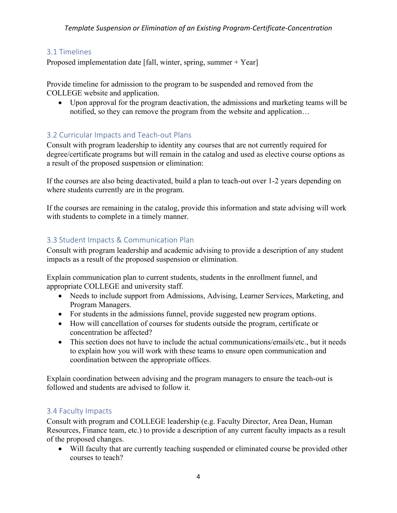#### 3.1 Timelines

Proposed implementation date [fall, winter, spring, summer + Year]

Provide timeline for admission to the program to be suspended and removed from the COLLEGE website and application.

• Upon approval for the program deactivation, the admissions and marketing teams will be notified, so they can remove the program from the website and application…

### 3.2 Curricular Impacts and Teach-out Plans

Consult with program leadership to identity any courses that are not currently required for degree/certificate programs but will remain in the catalog and used as elective course options as a result of the proposed suspension or elimination:

If the courses are also being deactivated, build a plan to teach-out over 1-2 years depending on where students currently are in the program.

If the courses are remaining in the catalog, provide this information and state advising will work with students to complete in a timely manner.

### 3.3 Student Impacts & Communication Plan

Consult with program leadership and academic advising to provide a description of any student impacts as a result of the proposed suspension or elimination.

Explain communication plan to current students, students in the enrollment funnel, and appropriate COLLEGE and university staff.

- Needs to include support from Admissions, Advising, Learner Services, Marketing, and Program Managers.
- For students in the admissions funnel, provide suggested new program options.
- How will cancellation of courses for students outside the program, certificate or concentration be affected?
- This section does not have to include the actual communications/emails/etc., but it needs to explain how you will work with these teams to ensure open communication and coordination between the appropriate offices.

Explain coordination between advising and the program managers to ensure the teach-out is followed and students are advised to follow it.

#### 3.4 Faculty Impacts

Consult with program and COLLEGE leadership (e.g. Faculty Director, Area Dean, Human Resources, Finance team, etc.) to provide a description of any current faculty impacts as a result of the proposed changes.

• Will faculty that are currently teaching suspended or eliminated course be provided other courses to teach?